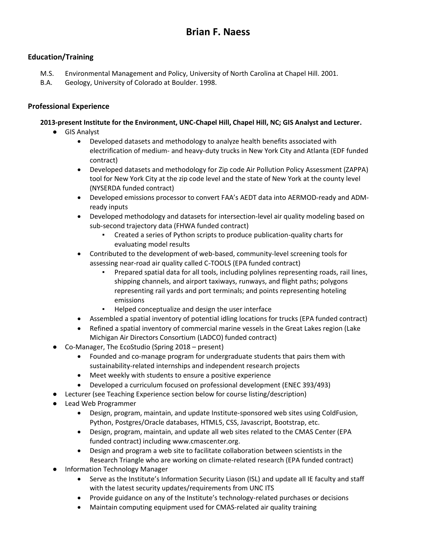# **Brian F. Naess**

# **Education/Training**

- M.S. Environmental Management and Policy, University of North Carolina at Chapel Hill. 2001.
- B.A. Geology, University of Colorado at Boulder. 1998.

# **Professional Experience**

# **2013-present Institute for the Environment, UNC-Chapel Hill, Chapel Hill, NC; GIS Analyst and Lecturer.**

- GIS Analyst
	- Developed datasets and methodology to analyze health benefits associated with electrification of medium- and heavy-duty trucks in New York City and Atlanta (EDF funded contract)
	- Developed datasets and methodology for Zip code Air Pollution Policy Assessment (ZAPPA) tool for New York City at the zip code level and the state of New York at the county level (NYSERDA funded contract)
	- Developed emissions processor to convert FAA's AEDT data into AERMOD-ready and ADMready inputs
	- Developed methodology and datasets for intersection-level air quality modeling based on sub-second trajectory data (FHWA funded contract)
		- Created a series of Python scripts to produce publication-quality charts for evaluating model results
	- Contributed to the development of web-based, community-level screening tools for assessing near-road air quality called C-TOOLS (EPA funded contract)
		- Prepared spatial data for all tools, including polylines representing roads, rail lines, shipping channels, and airport taxiways, runways, and flight paths; polygons representing rail yards and port terminals; and points representing hoteling emissions
		- Helped conceptualize and design the user interface
	- Assembled a spatial inventory of potential idling locations for trucks (EPA funded contract)
	- Refined a spatial inventory of commercial marine vessels in the Great Lakes region (Lake Michigan Air Directors Consortium (LADCO) funded contract)
- Co-Manager, The EcoStudio (Spring 2018 present)
	- Founded and co-manage program for undergraduate students that pairs them with sustainability-related internships and independent research projects
	- Meet weekly with students to ensure a positive experience
	- Developed a curriculum focused on professional development (ENEC 393/493)
- Lecturer (see Teaching Experience section below for course listing/description)
- Lead Web Programmer
	- Design, program, maintain, and update Institute-sponsored web sites using ColdFusion, Python, Postgres/Oracle databases, HTML5, CSS, Javascript, Bootstrap, etc.
	- Design, program, maintain, and update all web sites related to the CMAS Center (EPA funded contract) including www.cmascenter.org.
	- Design and program a web site to facilitate collaboration between scientists in the Research Triangle who are working on climate-related research (EPA funded contract)
- Information Technology Manager
	- Serve as the Institute's Information Security Liason (ISL) and update all IE faculty and staff with the latest security updates/requirements from UNC ITS
	- Provide guidance on any of the Institute's technology-related purchases or decisions
	- Maintain computing equipment used for CMAS-related air quality training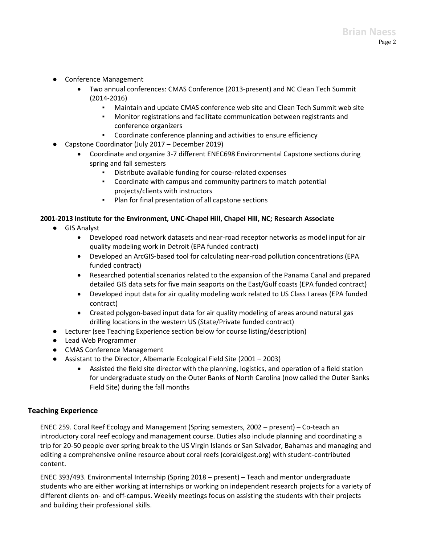- Conference Management
	- Two annual conferences: CMAS Conference (2013-present) and NC Clean Tech Summit (2014-2016)
		- Maintain and update CMAS conference web site and Clean Tech Summit web site
		- Monitor registrations and facilitate communication between registrants and conference organizers
	- Coordinate conference planning and activities to ensure efficiency
- Capstone Coordinator (July 2017 December 2019)
	- Coordinate and organize 3-7 different ENEC698 Environmental Capstone sections during spring and fall semesters
		- Distribute available funding for course-related expenses
		- Coordinate with campus and community partners to match potential projects/clients with instructors
		- Plan for final presentation of all capstone sections

#### **2001-2013 Institute for the Environment, UNC-Chapel Hill, Chapel Hill, NC; Research Associate**

- GIS Analyst
	- Developed road network datasets and near-road receptor networks as model input for air quality modeling work in Detroit (EPA funded contract)
	- Developed an ArcGIS-based tool for calculating near-road pollution concentrations (EPA funded contract)
	- Researched potential scenarios related to the expansion of the Panama Canal and prepared detailed GIS data sets for five main seaports on the East/Gulf coasts (EPA funded contract)
	- Developed input data for air quality modeling work related to US Class I areas (EPA funded contract)
	- Created polygon-based input data for air quality modeling of areas around natural gas drilling locations in the western US (State/Private funded contract)
- Lecturer (see Teaching Experience section below for course listing/description)
- Lead Web Programmer
- CMAS Conference Management
- Assistant to the Director, Albemarle Ecological Field Site (2001 2003)
	- Assisted the field site director with the planning, logistics, and operation of a field station for undergraduate study on the Outer Banks of North Carolina (now called the Outer Banks Field Site) during the fall months

#### **Teaching Experience**

ENEC 259. Coral Reef Ecology and Management (Spring semesters, 2002 – present) – Co-teach an introductory coral reef ecology and management course. Duties also include planning and coordinating a trip for 20-50 people over spring break to the US Virgin Islands or San Salvador, Bahamas and managing and editing a comprehensive online resource about coral reefs (coraldigest.org) with student-contributed content.

ENEC 393/493. Environmental Internship (Spring 2018 – present) – Teach and mentor undergraduate students who are either working at internships or working on independent research projects for a variety of different clients on- and off-campus. Weekly meetings focus on assisting the students with their projects and building their professional skills.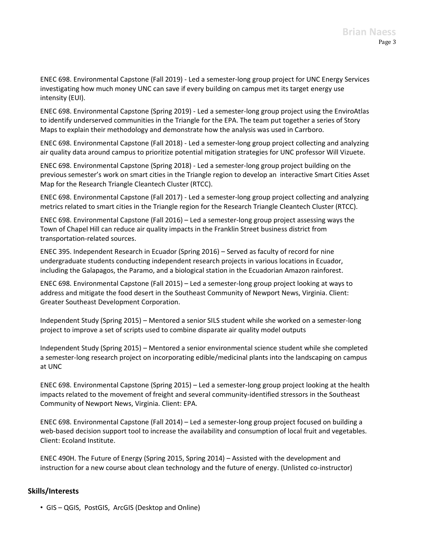ENEC 698. Environmental Capstone (Fall 2019) - Led a semester-long group project for UNC Energy Services investigating how much money UNC can save if every building on campus met its target energy use intensity (EUI).

ENEC 698. Environmental Capstone (Spring 2019) - Led a semester-long group project using the EnviroAtlas to identify underserved communities in the Triangle for the EPA. The team put together a series of Story Maps to explain their methodology and demonstrate how the analysis was used in Carrboro.

ENEC 698. Environmental Capstone (Fall 2018) - Led a semester-long group project collecting and analyzing air quality data around campus to prioritize potential mitigation strategies for UNC professor Will Vizuete.

ENEC 698. Environmental Capstone (Spring 2018) - Led a semester-long group project building on the previous semester's work on smart cities in the Triangle region to develop an interactive Smart Cities Asset Map for the Research Triangle Cleantech Cluster (RTCC).

ENEC 698. Environmental Capstone (Fall 2017) - Led a semester-long group project collecting and analyzing metrics related to smart cities in the Triangle region for the Research Triangle Cleantech Cluster (RTCC).

ENEC 698. Environmental Capstone (Fall 2016) – Led a semester-long group project assessing ways the Town of Chapel Hill can reduce air quality impacts in the Franklin Street business district from transportation-related sources.

ENEC 395. Independent Research in Ecuador (Spring 2016) – Served as faculty of record for nine undergraduate students conducting independent research projects in various locations in Ecuador, including the Galapagos, the Paramo, and a biological station in the Ecuadorian Amazon rainforest.

ENEC 698. Environmental Capstone (Fall 2015) – Led a semester-long group project looking at ways to address and mitigate the food desert in the Southeast Community of Newport News, Virginia. Client: Greater Southeast Development Corporation.

Independent Study (Spring 2015) – Mentored a senior SILS student while she worked on a semester-long project to improve a set of scripts used to combine disparate air quality model outputs

Independent Study (Spring 2015) – Mentored a senior environmental science student while she completed a semester-long research project on incorporating edible/medicinal plants into the landscaping on campus at UNC

ENEC 698. Environmental Capstone (Spring 2015) – Led a semester-long group project looking at the health impacts related to the movement of freight and several community-identified stressors in the Southeast Community of Newport News, Virginia. Client: EPA.

ENEC 698. Environmental Capstone (Fall 2014) – Led a semester-long group project focused on building a web-based decision support tool to increase the availability and consumption of local fruit and vegetables. Client: Ecoland Institute.

ENEC 490H. The Future of Energy (Spring 2015, Spring 2014) – Assisted with the development and instruction for a new course about clean technology and the future of energy. (Unlisted co-instructor)

#### **Skills/Interests**

• GIS – QGIS, PostGIS, ArcGIS (Desktop and Online)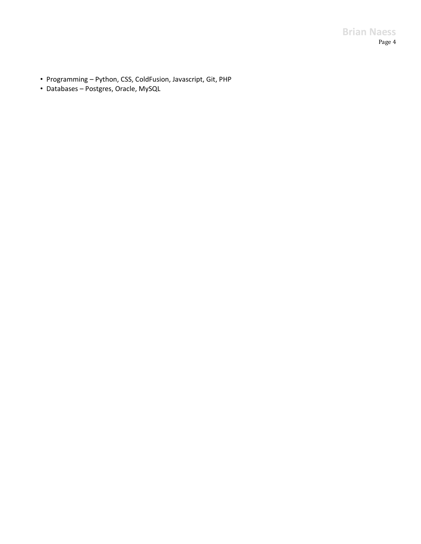# **Brian Naess** Page 4

- Programming Python, CSS, ColdFusion, Javascript, Git, PHP
- Databases Postgres, Oracle, MySQL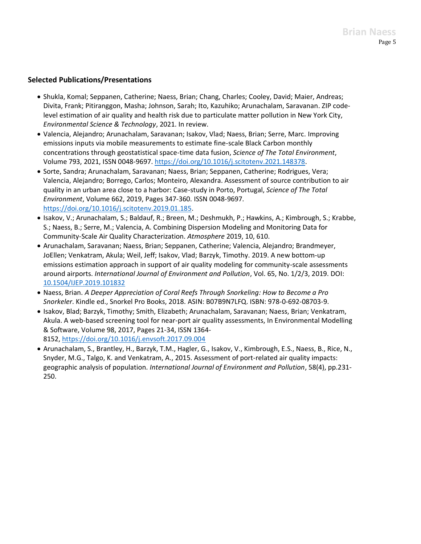### **Selected Publications/Presentations**

- Shukla, Komal; Seppanen, Catherine; Naess, Brian; Chang, Charles; Cooley, David; Maier, Andreas; Divita, Frank; Pitiranggon, Masha; Johnson, Sarah; Ito, Kazuhiko; Arunachalam, Saravanan. ZIP codelevel estimation of air quality and health risk due to particulate matter pollution in New York City, *Environmental Science & Technology*, 2021. In review.
- Valencia, Alejandro; Arunachalam, Saravanan; Isakov, Vlad; Naess, Brian; Serre, Marc. Improving emissions inputs via mobile measurements to estimate fine-scale Black Carbon monthly concentrations through geostatistical space-time data fusion, *Science of The Total Environment*, Volume 793, 2021, ISSN 0048-9697. [https://doi.org/10.1016/j.scitotenv.2021.148378.](https://doi.org/10.1016/j.scitotenv.2021.148378)
- Sorte, Sandra; Arunachalam, Saravanan; Naess, Brian; Seppanen, Catherine; Rodrigues, Vera; Valencia, Alejandro; Borrego, Carlos; Monteiro, Alexandra. Assessment of source contribution to air quality in an urban area close to a harbor: Case-study in Porto, Portugal, *Science of The Total Environment*, Volume 662, 2019, Pages 347-360. ISSN 0048-9697. [https://doi.org/10.1016/j.scitotenv.2019.01.185.](https://doi.org/10.1016/j.scitotenv.2019.01.185)
- Isakov, V.; Arunachalam, S.; Baldauf, R.; Breen, M.; Deshmukh, P.; Hawkins, A.; Kimbrough, S.; Krabbe, S.; Naess, B.; Serre, M.; Valencia, A. Combining Dispersion Modeling and Monitoring Data for Community-Scale Air Quality Characterization. *Atmosphere* 2019, 10, 610.
- Arunachalam, Saravanan; Naess, Brian; Seppanen, Catherine; Valencia, Alejandro; Brandmeyer, JoEllen; Venkatram, Akula; Weil, Jeff; Isakov, Vlad; Barzyk, Timothy. 2019. A new bottom-up emissions estimation approach in support of air quality modeling for community-scale assessments around airports. *International Journal of Environment and Pollution*, Vol. 65, No. 1/2/3, 2019. DOI: [10.1504/IJEP.2019.101832](https://dx.doi.org/10.1504/IJEP.2019.101832)
- Naess, Brian. *A Deeper Appreciation of Coral Reefs Through Snorkeling: How to Become a Pro Snorkeler*. Kindle ed., Snorkel Pro Books, 2018. ASIN: B07B9N7LFQ. ISBN: 978-0-692-08703-9.
- Isakov, Blad; Barzyk, Timothy; Smith, Elizabeth; Arunachalam, Saravanan; Naess, Brian; Venkatram, Akula. A web-based screening tool for near-port air quality assessments, In Environmental Modelling & Software, Volume 98, 2017, Pages 21-34, ISSN 1364- 8152, <https://doi.org/10.1016/j.envsoft.2017.09.004>
- Arunachalam, S., Brantley, H., Barzyk, T.M., Hagler, G., Isakov, V., Kimbrough, E.S., Naess, B., Rice, N., Snyder, M.G., Talgo, K. and Venkatram, A., 2015. Assessment of port-related air quality impacts: geographic analysis of population. *International Journal of Environment and Pollution*, 58(4), pp.231- 250.